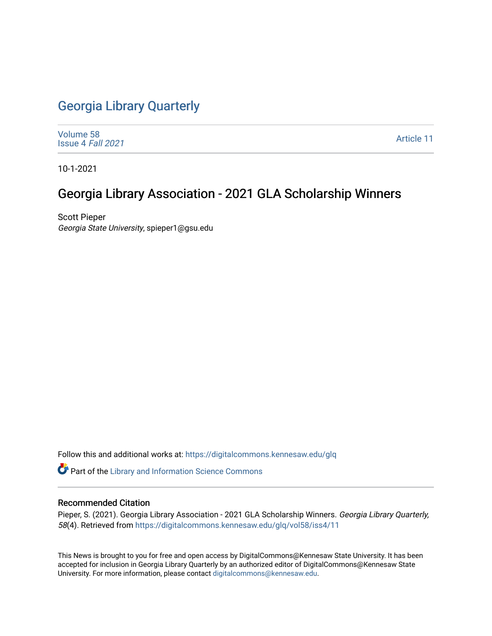# [Georgia Library Quarterly](https://digitalcommons.kennesaw.edu/glq)

[Volume 58](https://digitalcommons.kennesaw.edu/glq/vol58) [Issue 4](https://digitalcommons.kennesaw.edu/glq/vol58/iss4) Fall 2021

[Article 11](https://digitalcommons.kennesaw.edu/glq/vol58/iss4/11) 

10-1-2021

# Georgia Library Association - 2021 GLA Scholarship Winners

Scott Pieper Georgia State University, spieper1@gsu.edu

Follow this and additional works at: [https://digitalcommons.kennesaw.edu/glq](https://digitalcommons.kennesaw.edu/glq?utm_source=digitalcommons.kennesaw.edu%2Fglq%2Fvol58%2Fiss4%2F11&utm_medium=PDF&utm_campaign=PDFCoverPages) 

Part of the [Library and Information Science Commons](http://network.bepress.com/hgg/discipline/1018?utm_source=digitalcommons.kennesaw.edu%2Fglq%2Fvol58%2Fiss4%2F11&utm_medium=PDF&utm_campaign=PDFCoverPages) 

## Recommended Citation

Pieper, S. (2021). Georgia Library Association - 2021 GLA Scholarship Winners. Georgia Library Quarterly, 58(4). Retrieved from [https://digitalcommons.kennesaw.edu/glq/vol58/iss4/11](https://digitalcommons.kennesaw.edu/glq/vol58/iss4/11?utm_source=digitalcommons.kennesaw.edu%2Fglq%2Fvol58%2Fiss4%2F11&utm_medium=PDF&utm_campaign=PDFCoverPages) 

This News is brought to you for free and open access by DigitalCommons@Kennesaw State University. It has been accepted for inclusion in Georgia Library Quarterly by an authorized editor of DigitalCommons@Kennesaw State University. For more information, please contact [digitalcommons@kennesaw.edu.](mailto:digitalcommons@kennesaw.edu)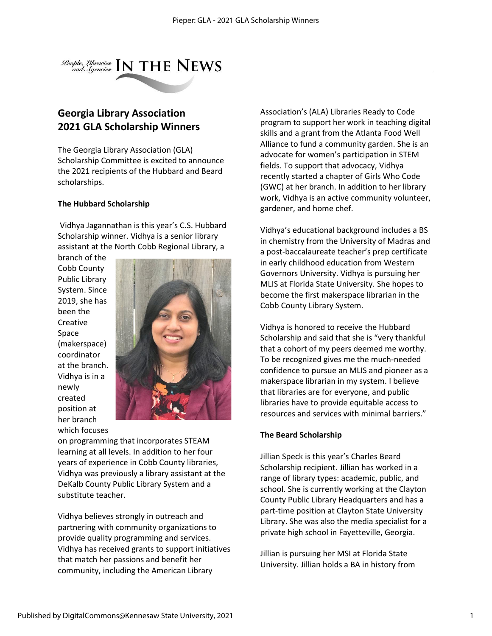

## **Georgia Library Association 2021 GLA Scholarship Winners**

The Georgia Library Association (GLA) Scholarship Committee is excited to announce the 2021 recipients of the Hubbard and Beard scholarships.

#### **The Hubbard Scholarship**

Vidhya Jagannathan is this year's C.S. Hubbard Scholarship winner. Vidhya is a senior library assistant at the North Cobb Regional Library, a

branch of the Cobb County Public Library System. Since 2019, she has been the Creative Space (makerspace) coordinator at the branch. Vidhya is in a newly created position at her branch which focuses



on programming that incorporates STEAM learning at all levels. In addition to her four years of experience in Cobb County libraries, Vidhya was previously a library assistant at the DeKalb County Public Library System and a substitute teacher.

Vidhya believes strongly in outreach and partnering with community organizations to provide quality programming and services. Vidhya has received grants to support initiatives that match her passions and benefit her community, including the American Library

Association's (ALA) Libraries Ready to Code program to support her work in teaching digital skills and a grant from the Atlanta Food Well Alliance to fund a community garden. She is an advocate for women's participation in STEM fields. To support that advocacy, Vidhya recently started a chapter of Girls Who Code (GWC) at her branch. In addition to her library work, Vidhya is an active community volunteer, gardener, and home chef.

Vidhya's educational background includes a BS in chemistry from the University of Madras and a post-baccalaureate teacher's prep certificate in early childhood education from Western Governors University. Vidhya is pursuing her MLIS at Florida State University. She hopes to become the first makerspace librarian in the Cobb County Library System.

Vidhya is honored to receive the Hubbard Scholarship and said that she is "very thankful that a cohort of my peers deemed me worthy. To be recognized gives me the much-needed confidence to pursue an MLIS and pioneer as a makerspace librarian in my system. I believe that libraries are for everyone, and public libraries have to provide equitable access to resources and services with minimal barriers."

## **The Beard Scholarship**

Jillian Speck is this year's Charles Beard Scholarship recipient. Jillian has worked in a range of library types: academic, public, and school. She is currently working at the Clayton County Public Library Headquarters and has a part-time position at Clayton State University Library. She was also the media specialist for a private high school in Fayetteville, Georgia.

Jillian is pursuing her MSI at Florida State University. Jillian holds a BA in history from